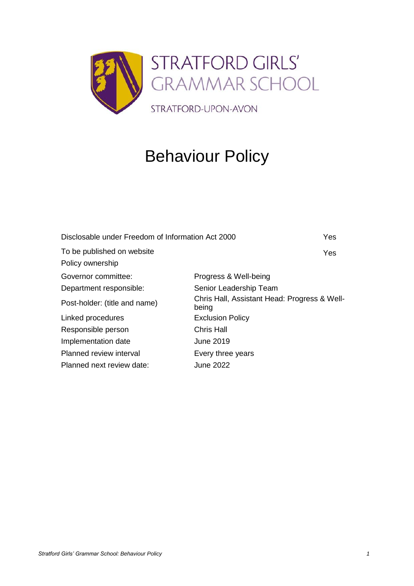

# Behaviour Policy

| Disclosable under Freedom of Information Act 2000 |                                                       | Yes |
|---------------------------------------------------|-------------------------------------------------------|-----|
| To be published on website                        |                                                       | Yes |
| Policy ownership                                  |                                                       |     |
| Governor committee:                               | Progress & Well-being                                 |     |
| Department responsible:                           | Senior Leadership Team                                |     |
| Post-holder: (title and name)                     | Chris Hall, Assistant Head: Progress & Well-<br>being |     |
| Linked procedures                                 | <b>Exclusion Policy</b>                               |     |
| Responsible person                                | <b>Chris Hall</b>                                     |     |
| Implementation date                               | June 2019                                             |     |
| Planned review interval                           | Every three years                                     |     |
| Planned next review date:                         | June 2022                                             |     |
|                                                   |                                                       |     |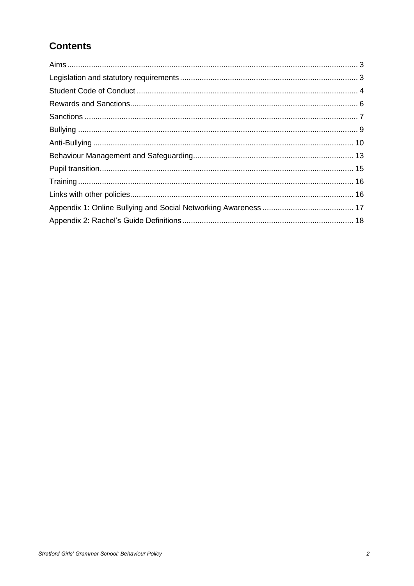# **Contents**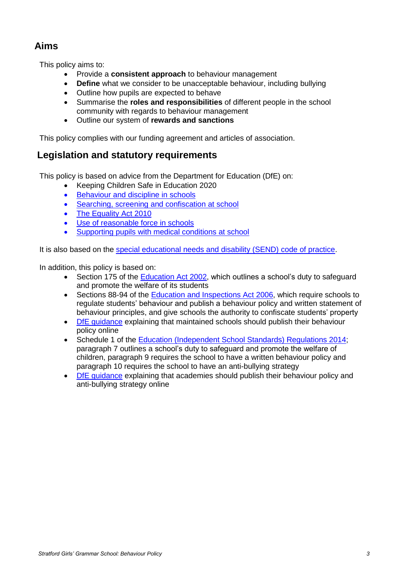# **Aims**

This policy aims to:

- Provide a **consistent approach** to behaviour management
- **Define** what we consider to be unacceptable behaviour, including bullying
- Outline how pupils are expected to behave
- Summarise the **roles and responsibilities** of different people in the school community with regards to behaviour management
- Outline our system of **rewards and sanctions**

This policy complies with our funding agreement and articles of association.

### **Legislation and statutory requirements**

This policy is based on advice from the Department for Education (DfE) on:

- Keeping Children Safe in Education 2020
- [Behaviour and discipline in schools](https://www.gov.uk/government/publications/behaviour-and-discipline-in-schools)
- [Searching, screening and confiscation at school](https://www.gov.uk/government/publications/searching-screening-and-confiscation)
- [The Equality Act 2010](https://www.gov.uk/government/publications/equality-act-2010-advice-for-schools)
- [Use of reasonable force in schools](https://www.gov.uk/government/publications/use-of-reasonable-force-in-schools)
- [Supporting pupils with medical conditions at school](https://www.gov.uk/government/publications/supporting-pupils-at-school-with-medical-conditions--3)

It is also based on the [special educational needs and disability \(SEND\) code of practice.](https://www.gov.uk/government/publications/send-code-of-practice-0-to-25)

In addition, this policy is based on:

- Section 175 of the [Education Act 2002,](http://www.legislation.gov.uk/ukpga/2002/32/section/175) which outlines a school's duty to safeguard and promote the welfare of its students
- Sections 88-94 of the [Education and Inspections Act 2006,](http://www.legislation.gov.uk/ukpga/2006/40/section/88) which require schools to regulate students' behaviour and publish a behaviour policy and written statement of behaviour principles, and give schools the authority to confiscate students' property
- [DfE guidance](https://www.gov.uk/guidance/what-maintained-schools-must-publish-online#behaviour-policy) explaining that maintained schools should publish their behaviour policy online
- Schedule 1 of the [Education \(Independent School Standards\) Regulations 2014;](http://www.legislation.gov.uk/uksi/2014/3283/schedule/made) paragraph 7 outlines a school's duty to safeguard and promote the welfare of children, paragraph 9 requires the school to have a written behaviour policy and paragraph 10 requires the school to have an anti-bullying strategy
- [DfE guidance](https://www.gov.uk/guidance/what-academies-free-schools-and-colleges-should-publish-online) explaining that academies should publish their behaviour policy and anti-bullying strategy online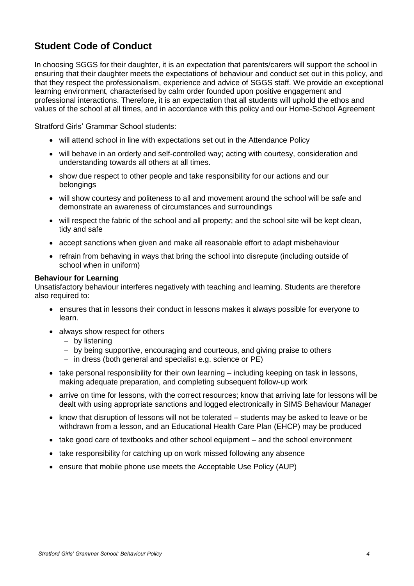## **Student Code of Conduct**

In choosing SGGS for their daughter, it is an expectation that parents/carers will support the school in ensuring that their daughter meets the expectations of behaviour and conduct set out in this policy, and that they respect the professionalism, experience and advice of SGGS staff. We provide an exceptional learning environment, characterised by calm order founded upon positive engagement and professional interactions. Therefore, it is an expectation that all students will uphold the ethos and values of the school at all times, and in accordance with this policy and our Home-School Agreement

Stratford Girls' Grammar School students:

- will attend school in line with expectations set out in the Attendance Policy
- will behave in an orderly and self-controlled way; acting with courtesy, consideration and understanding towards all others at all times.
- show due respect to other people and take responsibility for our actions and our belongings
- will show courtesy and politeness to all and movement around the school will be safe and demonstrate an awareness of circumstances and surroundings
- will respect the fabric of the school and all property; and the school site will be kept clean, tidy and safe
- accept sanctions when given and make all reasonable effort to adapt misbehaviour
- refrain from behaving in ways that bring the school into disrepute (including outside of school when in uniform)

### **Behaviour for Learning**

Unsatisfactory behaviour interferes negatively with teaching and learning. Students are therefore also required to:

- ensures that in lessons their conduct in lessons makes it always possible for everyone to learn.
- always show respect for others
	- − by listening
	- − by being supportive, encouraging and courteous, and giving praise to others
	- − in dress (both general and specialist e.g. science or PE)
- take personal responsibility for their own learning including keeping on task in lessons, making adequate preparation, and completing subsequent follow-up work
- arrive on time for lessons, with the correct resources; know that arriving late for lessons will be dealt with using appropriate sanctions and logged electronically in SIMS Behaviour Manager
- know that disruption of lessons will not be tolerated students may be asked to leave or be withdrawn from a lesson, and an Educational Health Care Plan (EHCP) may be produced
- take good care of textbooks and other school equipment and the school environment
- take responsibility for catching up on work missed following any absence
- ensure that mobile phone use meets the Acceptable Use Policy (AUP)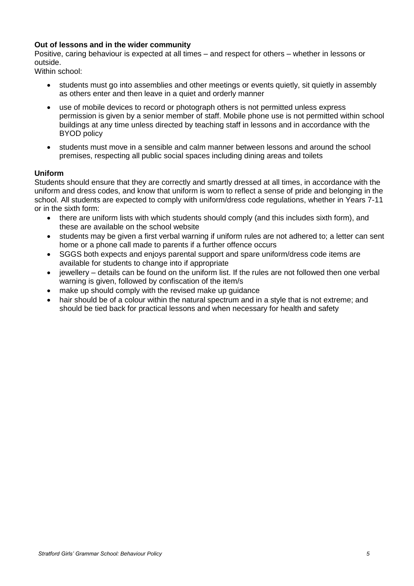### **Out of lessons and in the wider community**

Positive, caring behaviour is expected at all times – and respect for others – whether in lessons or outside.

Within school:

- students must go into assemblies and other meetings or events quietly, sit quietly in assembly as others enter and then leave in a quiet and orderly manner
- use of mobile devices to record or photograph others is not permitted unless express permission is given by a senior member of staff. Mobile phone use is not permitted within school buildings at any time unless directed by teaching staff in lessons and in accordance with the BYOD policy
- students must move in a sensible and calm manner between lessons and around the school premises, respecting all public social spaces including dining areas and toilets

### **Uniform**

Students should ensure that they are correctly and smartly dressed at all times, in accordance with the uniform and dress codes, and know that uniform is worn to reflect a sense of pride and belonging in the school. All students are expected to comply with uniform/dress code regulations, whether in Years 7-11 or in the sixth form:

- there are uniform lists with which students should comply (and this includes sixth form), and these are available on the school website
- students may be given a first verbal warning if uniform rules are not adhered to; a letter can sent home or a phone call made to parents if a further offence occurs
- SGGS both expects and enjoys parental support and spare uniform/dress code items are available for students to change into if appropriate
- jewellery details can be found on the uniform list. If the rules are not followed then one verbal warning is given, followed by confiscation of the item/s
- make up should comply with the revised make up quidance
- hair should be of a colour within the natural spectrum and in a style that is not extreme; and should be tied back for practical lessons and when necessary for health and safety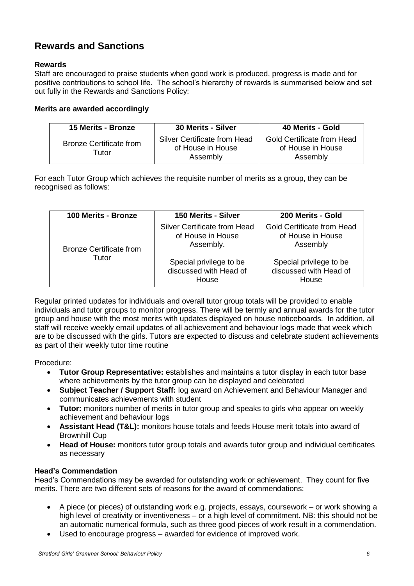# **Rewards and Sanctions**

### **Rewards**

Staff are encouraged to praise students when good work is produced, progress is made and for positive contributions to school life. The school's hierarchy of rewards is summarised below and set out fully in the Rewards and Sanctions Policy:

### **Merits are awarded accordingly**

| <b>15 Merits - Bronze</b>               | 30 Merits - Silver                                            | 40 Merits - Gold                                            |
|-----------------------------------------|---------------------------------------------------------------|-------------------------------------------------------------|
| <b>Bronze Certificate from</b><br>Tutor | Silver Certificate from Head<br>of House in House<br>Assembly | Gold Certificate from Head<br>of House in House<br>Assembly |

For each Tutor Group which achieves the requisite number of merits as a group, they can be recognised as follows:

| 100 Merits - Bronze              | 150 Merits - Silver                                            | 200 Merits - Gold                                                  |
|----------------------------------|----------------------------------------------------------------|--------------------------------------------------------------------|
| Bronze Certificate from<br>Tutor | Silver Certificate from Head<br>of House in House<br>Assembly. | <b>Gold Certificate from Head</b><br>of House in House<br>Assembly |
|                                  | Special privilege to be<br>discussed with Head of<br>House     | Special privilege to be<br>discussed with Head of<br>House         |

Regular printed updates for individuals and overall tutor group totals will be provided to enable individuals and tutor groups to monitor progress. There will be termly and annual awards for the tutor group and house with the most merits with updates displayed on house noticeboards. In addition, all staff will receive weekly email updates of all achievement and behaviour logs made that week which are to be discussed with the girls. Tutors are expected to discuss and celebrate student achievements as part of their weekly tutor time routine

Procedure:

- **Tutor Group Representative:** establishes and maintains a tutor display in each tutor base where achievements by the tutor group can be displayed and celebrated
- **Subject Teacher / Support Staff:** log award on Achievement and Behaviour Manager and communicates achievements with student
- **Tutor:** monitors number of merits in tutor group and speaks to girls who appear on weekly achievement and behaviour logs
- **Assistant Head (T&L):** monitors house totals and feeds House merit totals into award of Brownhill Cup
- **Head of House:** monitors tutor group totals and awards tutor group and individual certificates as necessary

### **Head's Commendation**

Head's Commendations may be awarded for outstanding work or achievement. They count for five merits. There are two different sets of reasons for the award of commendations:

- A piece (or pieces) of outstanding work e.g. projects, essays, coursework or work showing a high level of creativity or inventiveness – or a high level of commitment. NB: this should not be an automatic numerical formula, such as three good pieces of work result in a commendation.
- Used to encourage progress awarded for evidence of improved work.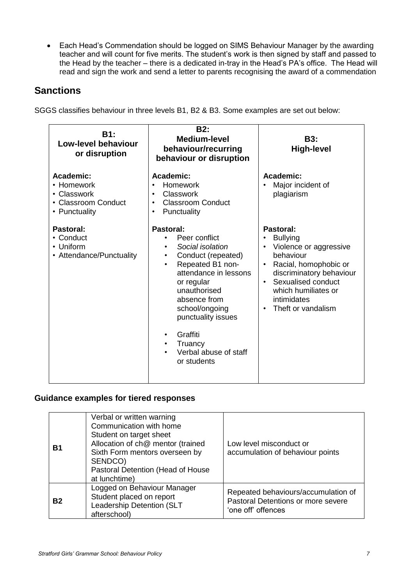• Each Head's Commendation should be logged on SIMS Behaviour Manager by the awarding teacher and will count for five merits. The student's work is then signed by staff and passed to the Head by the teacher – there is a dedicated in-tray in the Head's PA's office. The Head will read and sign the work and send a letter to parents recognising the award of a commendation

### **Sanctions**

SGGS classifies behaviour in three levels B1, B2 & B3. Some examples are set out below:

| <b>B1:</b><br>Low-level behaviour<br>or disruption                             | <b>B2:</b><br><b>Medium-level</b><br>behaviour/recurring<br>behaviour or disruption                                                                                                                                                                                                 | <b>B3:</b><br><b>High-level</b>                                                                                                                                                                                         |
|--------------------------------------------------------------------------------|-------------------------------------------------------------------------------------------------------------------------------------------------------------------------------------------------------------------------------------------------------------------------------------|-------------------------------------------------------------------------------------------------------------------------------------------------------------------------------------------------------------------------|
| Academic:<br>• Homework<br>• Classwork<br>• Classroom Conduct<br>• Punctuality | Academic:<br>Homework<br>Classwork<br><b>Classroom Conduct</b><br>Punctuality<br>$\bullet$                                                                                                                                                                                          | Academic:<br>Major incident of<br>plagiarism                                                                                                                                                                            |
| Pastoral:<br>• Conduct<br>• Uniform<br>• Attendance/Punctuality                | Pastoral:<br>Peer conflict<br>Social isolation<br>Conduct (repeated)<br>$\bullet$<br>Repeated B1 non-<br>attendance in lessons<br>or regular<br>unauthorised<br>absence from<br>school/ongoing<br>punctuality issues<br>Graffiti<br>Truancy<br>Verbal abuse of staff<br>or students | Pastoral:<br><b>Bullying</b><br>Violence or aggressive<br>behaviour<br>Racial, homophobic or<br>discriminatory behaviour<br>Sexualised conduct<br>$\bullet$<br>which humiliates or<br>intimidates<br>Theft or vandalism |

### **Guidance examples for tiered responses**

| <b>B1</b> | Verbal or written warning<br>Communication with home<br>Student on target sheet<br>Allocation of ch@ mentor (trained<br>Sixth Form mentors overseen by<br>SENDCO)<br>Pastoral Detention (Head of House<br>at lunchtime) | Low level misconduct or<br>accumulation of behaviour points                                     |
|-----------|-------------------------------------------------------------------------------------------------------------------------------------------------------------------------------------------------------------------------|-------------------------------------------------------------------------------------------------|
| <b>B2</b> | Logged on Behaviour Manager<br>Student placed on report<br>Leadership Detention (SLT<br>afterschool)                                                                                                                    | Repeated behaviours/accumulation of<br>Pastoral Detentions or more severe<br>'one off' offences |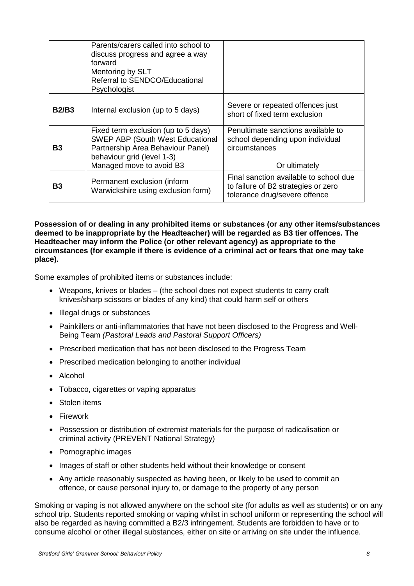|              | Parents/carers called into school to<br>discuss progress and agree a way<br>forward<br>Mentoring by SLT<br>Referral to SENDCO/Educational<br>Psychologist                     |                                                                                                                |
|--------------|-------------------------------------------------------------------------------------------------------------------------------------------------------------------------------|----------------------------------------------------------------------------------------------------------------|
| <b>B2/B3</b> | Internal exclusion (up to 5 days)                                                                                                                                             | Severe or repeated offences just<br>short of fixed term exclusion                                              |
| B3           | Fixed term exclusion (up to 5 days)<br><b>SWEP ABP (South West Educational</b><br>Partnership Area Behaviour Panel)<br>behaviour grid (level 1-3)<br>Managed move to avoid B3 | Penultimate sanctions available to<br>school depending upon individual<br>circumstances<br>Or ultimately       |
| B3           | Permanent exclusion (inform<br>Warwickshire using exclusion form)                                                                                                             | Final sanction available to school due<br>to failure of B2 strategies or zero<br>tolerance drug/severe offence |

**Possession of or dealing in any prohibited items or substances (or any other items/substances deemed to be inappropriate by the Headteacher) will be regarded as B3 tier offences. The Headteacher may inform the Police (or other relevant agency) as appropriate to the circumstances (for example if there is evidence of a criminal act or fears that one may take place).** 

Some examples of prohibited items or substances include:

- Weapons, knives or blades (the school does not expect students to carry craft knives/sharp scissors or blades of any kind) that could harm self or others
- Illegal drugs or substances
- Painkillers or anti-inflammatories that have not been disclosed to the Progress and Well-Being Team *(Pastoral Leads and Pastoral Support Officers)*
- Prescribed medication that has not been disclosed to the Progress Team
- Prescribed medication belonging to another individual
- Alcohol
- Tobacco, cigarettes or vaping apparatus
- Stolen items
- Firework
- Possession or distribution of extremist materials for the purpose of radicalisation or criminal activity (PREVENT National Strategy)
- Pornographic images
- Images of staff or other students held without their knowledge or consent
- Any article reasonably suspected as having been, or likely to be used to commit an offence, or cause personal injury to, or damage to the property of any person

Smoking or vaping is not allowed anywhere on the school site (for adults as well as students) or on any school trip. Students reported smoking or vaping whilst in school uniform or representing the school will also be regarded as having committed a B2/3 infringement. Students are forbidden to have or to consume alcohol or other illegal substances, either on site or arriving on site under the influence.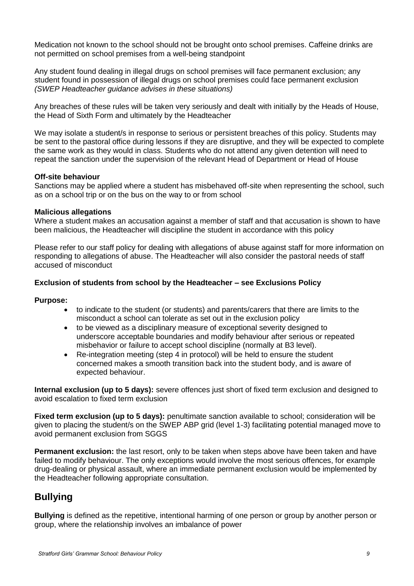Medication not known to the school should not be brought onto school premises. Caffeine drinks are not permitted on school premises from a well-being standpoint

Any student found dealing in illegal drugs on school premises will face permanent exclusion; any student found in possession of illegal drugs on school premises could face permanent exclusion *(SWEP Headteacher guidance advises in these situations)*

Any breaches of these rules will be taken very seriously and dealt with initially by the Heads of House, the Head of Sixth Form and ultimately by the Headteacher

We may isolate a student/s in response to serious or persistent breaches of this policy. Students may be sent to the pastoral office during lessons if they are disruptive, and they will be expected to complete the same work as they would in class. Students who do not attend any given detention will need to repeat the sanction under the supervision of the relevant Head of Department or Head of House

### **Off-site behaviour**

Sanctions may be applied where a student has misbehaved off-site when representing the school, such as on a school trip or on the bus on the way to or from school

### **Malicious allegations**

Where a student makes an accusation against a member of staff and that accusation is shown to have been malicious, the Headteacher will discipline the student in accordance with this policy

Please refer to our staff policy for dealing with allegations of abuse against staff for more information on responding to allegations of abuse. The Headteacher will also consider the pastoral needs of staff accused of misconduct

### **Exclusion of students from school by the Headteacher – see Exclusions Policy**

### **Purpose:**

- to indicate to the student (or students) and parents/carers that there are limits to the misconduct a school can tolerate as set out in the exclusion policy
- to be viewed as a disciplinary measure of exceptional severity designed to underscore acceptable boundaries and modify behaviour after serious or repeated misbehavior or failure to accept school discipline (normally at B3 level).
- Re-integration meeting (step 4 in protocol) will be held to ensure the student concerned makes a smooth transition back into the student body, and is aware of expected behaviour.

**Internal exclusion (up to 5 days):** severe offences just short of fixed term exclusion and designed to avoid escalation to fixed term exclusion

**Fixed term exclusion (up to 5 days):** penultimate sanction available to school; consideration will be given to placing the student/s on the SWEP ABP grid (level 1-3) facilitating potential managed move to avoid permanent exclusion from SGGS

**Permanent exclusion:** the last resort, only to be taken when steps above have been taken and have failed to modify behaviour. The only exceptions would involve the most serious offences, for example drug-dealing or physical assault, where an immediate permanent exclusion would be implemented by the Headteacher following appropriate consultation.

# **Bullying**

**Bullying** is defined as the repetitive, intentional harming of one person or group by another person or group, where the relationship involves an imbalance of power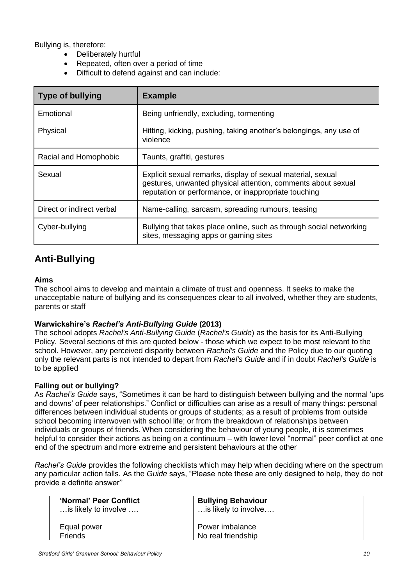Bullying is, therefore:

- Deliberately hurtful
- Repeated, often over a period of time
- Difficult to defend against and can include:

| <b>Type of bullying</b>   | <b>Example</b>                                                                                                                                                                      |
|---------------------------|-------------------------------------------------------------------------------------------------------------------------------------------------------------------------------------|
| Emotional                 | Being unfriendly, excluding, tormenting                                                                                                                                             |
| Physical                  | Hitting, kicking, pushing, taking another's belongings, any use of<br>violence                                                                                                      |
| Racial and Homophobic     | Taunts, graffiti, gestures                                                                                                                                                          |
| Sexual                    | Explicit sexual remarks, display of sexual material, sexual<br>gestures, unwanted physical attention, comments about sexual<br>reputation or performance, or inappropriate touching |
| Direct or indirect verbal | Name-calling, sarcasm, spreading rumours, teasing                                                                                                                                   |
| Cyber-bullying            | Bullying that takes place online, such as through social networking<br>sites, messaging apps or gaming sites                                                                        |

# **Anti-Bullying**

### **Aims**

The school aims to develop and maintain a climate of trust and openness. It seeks to make the unacceptable nature of bullying and its consequences clear to all involved, whether they are students, parents or staff

### **Warwickshire's** *Rachel's Anti-Bullying Guide* **(2013)**

The school adopts *Rachel's Anti-Bullying Guide* (*Rachel's Guide*) as the basis for its Anti-Bullying Policy. Several sections of this are quoted below - those which we expect to be most relevant to the school. However, any perceived disparity between *Rachel's Guide* and the Policy due to our quoting only the relevant parts is not intended to depart from *Rachel's Guide* and if in doubt *Rachel's Guide* is to be applied

### **Falling out or bullying?**

As *Rachel's Guide* says, "Sometimes it can be hard to distinguish between bullying and the normal 'ups and downs' of peer relationships." Conflict or difficulties can arise as a result of many things: personal differences between individual students or groups of students; as a result of problems from outside school becoming interwoven with school life; or from the breakdown of relationships between individuals or groups of friends. When considering the behaviour of young people, it is sometimes helpful to consider their actions as being on a continuum – with lower level "normal" peer conflict at one end of the spectrum and more extreme and persistent behaviours at the other

*Rachel's Guide* provides the following checklists which may help when deciding where on the spectrum any particular action falls. As the *Guide* says, "Please note these are only designed to help, they do not provide a definite answer''

| 'Normal' Peer Conflict | <b>Bullying Behaviour</b> |
|------------------------|---------------------------|
| is likely to involve   | is likely to involve      |
| Equal power            | Power imbalance           |
| <b>Friends</b>         | No real friendship        |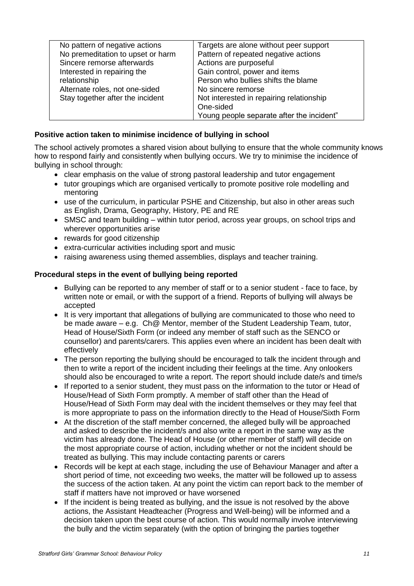| No pattern of negative actions                                     | Targets are alone without peer support                                                                                   |
|--------------------------------------------------------------------|--------------------------------------------------------------------------------------------------------------------------|
| No premeditation to upset or harm                                  | Pattern of repeated negative actions                                                                                     |
| Sincere remorse afterwards                                         | Actions are purposeful                                                                                                   |
| Interested in repairing the                                        | Gain control, power and items                                                                                            |
| relationship                                                       | Person who bullies shifts the blame                                                                                      |
| Alternate roles, not one-sided<br>Stay together after the incident | No sincere remorse<br>Not interested in repairing relationship<br>One-sided<br>Young people separate after the incident" |

### **Positive action taken to minimise incidence of bullying in school**

The school actively promotes a shared vision about bullying to ensure that the whole community knows how to respond fairly and consistently when bullying occurs. We try to minimise the incidence of bullying in school through:

- clear emphasis on the value of strong pastoral leadership and tutor engagement
- tutor groupings which are organised vertically to promote positive role modelling and mentoring
- use of the curriculum, in particular PSHE and Citizenship, but also in other areas such as English, Drama, Geography, History, PE and RE
- SMSC and team building within tutor period, across year groups, on school trips and wherever opportunities arise
- rewards for good citizenship
- extra-curricular activities including sport and music
- raising awareness using themed assemblies, displays and teacher training.

### **Procedural steps in the event of bullying being reported**

- Bullying can be reported to any member of staff or to a senior student face to face, by written note or email, or with the support of a friend. Reports of bullying will always be accepted
- It is very important that allegations of bullying are communicated to those who need to be made aware – e.g. Ch@ Mentor, member of the Student Leadership Team, tutor, Head of House/Sixth Form (or indeed any member of staff such as the SENCO or counsellor) and parents/carers. This applies even where an incident has been dealt with effectively
- The person reporting the bullying should be encouraged to talk the incident through and then to write a report of the incident including their feelings at the time. Any onlookers should also be encouraged to write a report. The report should include date/s and time/s
- If reported to a senior student, they must pass on the information to the tutor or Head of House/Head of Sixth Form promptly. A member of staff other than the Head of House/Head of Sixth Form may deal with the incident themselves or they may feel that is more appropriate to pass on the information directly to the Head of House/Sixth Form
- At the discretion of the staff member concerned, the alleged bully will be approached and asked to describe the incident/s and also write a report in the same way as the victim has already done. The Head of House (or other member of staff) will decide on the most appropriate course of action, including whether or not the incident should be treated as bullying. This may include contacting parents or carers
- Records will be kept at each stage, including the use of Behaviour Manager and after a short period of time, not exceeding two weeks, the matter will be followed up to assess the success of the action taken. At any point the victim can report back to the member of staff if matters have not improved or have worsened
- If the incident is being treated as bullying, and the issue is not resolved by the above actions, the Assistant Headteacher (Progress and Well-being) will be informed and a decision taken upon the best course of action. This would normally involve interviewing the bully and the victim separately (with the option of bringing the parties together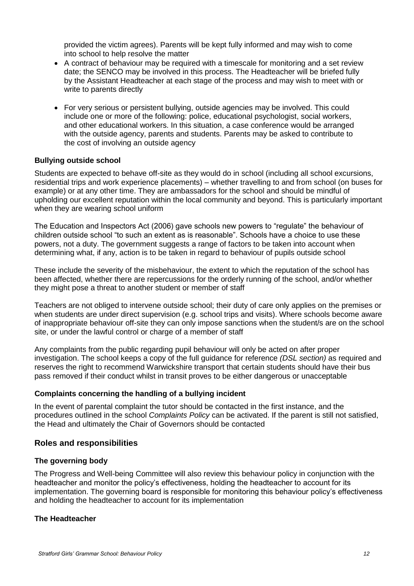provided the victim agrees). Parents will be kept fully informed and may wish to come into school to help resolve the matter

- A contract of behaviour may be required with a timescale for monitoring and a set review date; the SENCO may be involved in this process. The Headteacher will be briefed fully by the Assistant Headteacher at each stage of the process and may wish to meet with or write to parents directly
- For very serious or persistent bullying, outside agencies may be involved. This could include one or more of the following: police, educational psychologist, social workers, and other educational workers. In this situation, a case conference would be arranged with the outside agency, parents and students. Parents may be asked to contribute to the cost of involving an outside agency

### **Bullying outside school**

Students are expected to behave off-site as they would do in school (including all school excursions, residential trips and work experience placements) – whether travelling to and from school (on buses for example) or at any other time. They are ambassadors for the school and should be mindful of upholding our excellent reputation within the local community and beyond. This is particularly important when they are wearing school uniform

The Education and Inspectors Act (2006) gave schools new powers to "regulate" the behaviour of children outside school "to such an extent as is reasonable". Schools have a choice to use these powers, not a duty. The government suggests a range of factors to be taken into account when determining what, if any, action is to be taken in regard to behaviour of pupils outside school

These include the severity of the misbehaviour, the extent to which the reputation of the school has been affected, whether there are repercussions for the orderly running of the school, and/or whether they might pose a threat to another student or member of staff

Teachers are not obliged to intervene outside school; their duty of care only applies on the premises or when students are under direct supervision (e.g. school trips and visits). Where schools become aware of inappropriate behaviour off-site they can only impose sanctions when the student/s are on the school site, or under the lawful control or charge of a member of staff

Any complaints from the public regarding pupil behaviour will only be acted on after proper investigation. The school keeps a copy of the full guidance for reference *(DSL section)* as required and reserves the right to recommend Warwickshire transport that certain students should have their bus pass removed if their conduct whilst in transit proves to be either dangerous or unacceptable

### **Complaints concerning the handling of a bullying incident**

In the event of parental complaint the tutor should be contacted in the first instance, and the procedures outlined in the school *Complaints Policy* can be activated. If the parent is still not satisfied, the Head and ultimately the Chair of Governors should be contacted

### **Roles and responsibilities**

### **The governing body**

The Progress and Well-being Committee will also review this behaviour policy in conjunction with the headteacher and monitor the policy's effectiveness, holding the headteacher to account for its implementation. The governing board is responsible for monitoring this behaviour policy's effectiveness and holding the headteacher to account for its implementation

### **The Headteacher**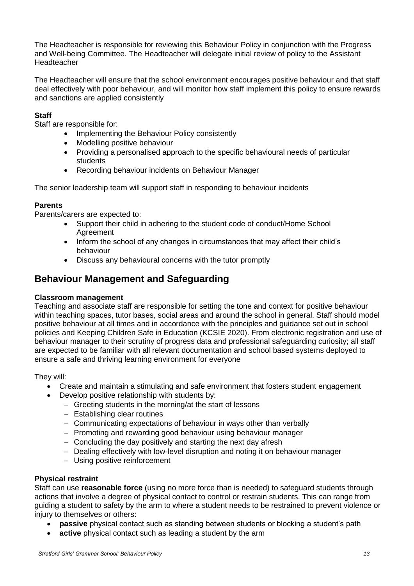The Headteacher is responsible for reviewing this Behaviour Policy in conjunction with the Progress and Well-being Committee. The Headteacher will delegate initial review of policy to the Assistant **Headteacher** 

The Headteacher will ensure that the school environment encourages positive behaviour and that staff deal effectively with poor behaviour, and will monitor how staff implement this policy to ensure rewards and sanctions are applied consistently

### **Staff**

Staff are responsible for:

- Implementing the Behaviour Policy consistently
- Modelling positive behaviour
- Providing a personalised approach to the specific behavioural needs of particular students
- Recording behaviour incidents on Behaviour Manager

The senior leadership team will support staff in responding to behaviour incidents

### **Parents**

Parents/carers are expected to:

- Support their child in adhering to the student code of conduct/Home School **Agreement**
- Inform the school of any changes in circumstances that may affect their child's behaviour
- Discuss any behavioural concerns with the tutor promptly

### **Behaviour Management and Safeguarding**

### **Classroom management**

Teaching and associate staff are responsible for setting the tone and context for positive behaviour within teaching spaces, tutor bases, social areas and around the school in general. Staff should model positive behaviour at all times and in accordance with the principles and guidance set out in school policies and Keeping Children Safe in Education (KCSIE 2020). From electronic registration and use of behaviour manager to their scrutiny of progress data and professional safeguarding curiosity; all staff are expected to be familiar with all relevant documentation and school based systems deployed to ensure a safe and thriving learning environment for everyone

They will:

- Create and maintain a stimulating and safe environment that fosters student engagement
- Develop positive relationship with students by:
	- − Greeting students in the morning/at the start of lessons
	- − Establishing clear routines
	- − Communicating expectations of behaviour in ways other than verbally
	- − Promoting and rewarding good behaviour using behaviour manager
	- − Concluding the day positively and starting the next day afresh
	- − Dealing effectively with low-level disruption and noting it on behaviour manager
	- − Using positive reinforcement

### **Physical restraint**

Staff can use **reasonable force** (using no more force than is needed) to safeguard students through actions that involve a degree of physical contact to control or restrain students. This can range from guiding a student to safety by the arm to where a student needs to be restrained to prevent violence or injury to themselves or others:

- **passive** physical contact such as standing between students or blocking a student's path
- **active** physical contact such as leading a student by the arm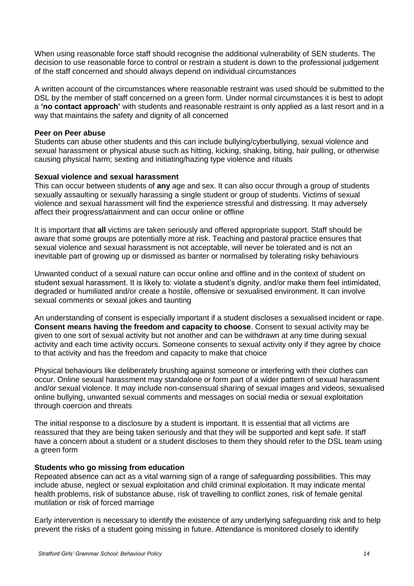When using reasonable force staff should recognise the additional vulnerability of SEN students. The decision to use reasonable force to control or restrain a student is down to the professional judgement of the staff concerned and should always depend on individual circumstances

A written account of the circumstances where reasonable restraint was used should be submitted to the DSL by the member of staff concerned on a green form. Under normal circumstances it is best to adopt a **'no contact approach'** with students and reasonable restraint is only applied as a last resort and in a way that maintains the safety and dignity of all concerned

### **Peer on Peer abuse**

Students can abuse other students and this can include bullying/cyberbullying, sexual violence and sexual harassment or physical abuse such as hitting, kicking, shaking, biting, hair pulling, or otherwise causing physical harm; sexting and initiating/hazing type violence and rituals

### **Sexual violence and sexual harassment**

This can occur between students of **any** age and sex. It can also occur through a group of students sexually assaulting or sexually harassing a single student or group of students. Victims of sexual violence and sexual harassment will find the experience stressful and distressing. It may adversely affect their progress/attainment and can occur online or offline

It is important that **all** victims are taken seriously and offered appropriate support. Staff should be aware that some groups are potentially more at risk. Teaching and pastoral practice ensures that sexual violence and sexual harassment is not acceptable, will never be tolerated and is not an inevitable part of growing up or dismissed as banter or normalised by tolerating risky behaviours

Unwanted conduct of a sexual nature can occur online and offline and in the context of student on student sexual harassment. It is likely to: violate a student's dignity, and/or make them feel intimidated, degraded or humiliated and/or create a hostile, offensive or sexualised environment. It can involve sexual comments or sexual jokes and taunting

An understanding of consent is especially important if a student discloses a sexualised incident or rape. **Consent means having the freedom and capacity to choose**. Consent to sexual activity may be given to one sort of sexual activity but not another and can be withdrawn at any time during sexual activity and each time activity occurs. Someone consents to sexual activity only if they agree by choice to that activity and has the freedom and capacity to make that choice

Physical behaviours like deliberately brushing against someone or interfering with their clothes can occur. Online sexual harassment may standalone or form part of a wider pattern of sexual harassment and/or sexual violence. It may include non-consensual sharing of sexual images and videos, sexualised online bullying, unwanted sexual comments and messages on social media or sexual exploitation through coercion and threats

The initial response to a disclosure by a student is important. It is essential that all victims are reassured that they are being taken seriously and that they will be supported and kept safe. If staff have a concern about a student or a student discloses to them they should refer to the DSL team using a green form

### **Students who go missing from education**

Repeated absence can act as a vital warning sign of a range of safeguarding possibilities. This may include abuse, neglect or sexual exploitation and child criminal exploitation. It may indicate mental health problems, risk of substance abuse, risk of travelling to conflict zones, risk of female genital mutilation or risk of forced marriage

Early intervention is necessary to identify the existence of any underlying safeguarding risk and to help prevent the risks of a student going missing in future. Attendance is monitored closely to identify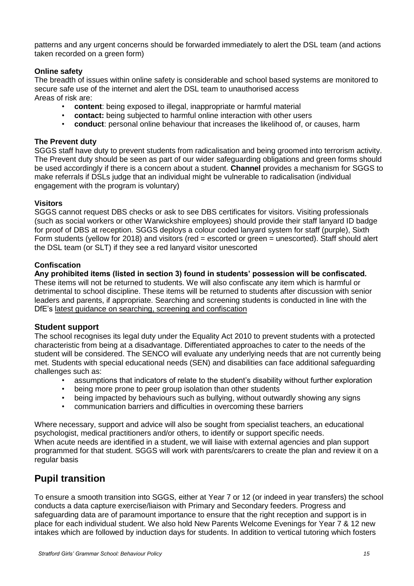patterns and any urgent concerns should be forwarded immediately to alert the DSL team (and actions taken recorded on a green form)

### **Online safety**

The breadth of issues within online safety is considerable and school based systems are monitored to secure safe use of the internet and alert the DSL team to unauthorised access Areas of risk are:

- **content**: being exposed to illegal, inappropriate or harmful material
- **contact:** being subjected to harmful online interaction with other users
- **conduct**: personal online behaviour that increases the likelihood of, or causes, harm

### **The Prevent duty**

SGGS staff have duty to prevent students from radicalisation and being groomed into terrorism activity. The Prevent duty should be seen as part of our wider safeguarding obligations and green forms should be used accordingly if there is a concern about a student. **Channel** provides a mechanism for SGGS to make referrals if DSLs judge that an individual might be vulnerable to radicalisation (individual engagement with the program is voluntary)

### **Visitors**

SGGS cannot request DBS checks or ask to see DBS certificates for visitors. Visiting professionals (such as social workers or other Warwickshire employees) should provide their staff lanyard ID badge for proof of DBS at reception. SGGS deploys a colour coded lanyard system for staff (purple), Sixth Form students (yellow for 2018) and visitors (red = escorted or green = unescorted). Staff should alert the DSL team (or SLT) if they see a red lanyard visitor unescorted

### **Confiscation**

**Any prohibited items (listed in section 3) found in students' possession will be confiscated.** These items will not be returned to students. We will also confiscate any item which is harmful or detrimental to school discipline. These items will be returned to students after discussion with senior leaders and parents, if appropriate. Searching and screening students is conducted in line with the DfE's [latest guidance on searching, screening and confiscation](https://www.gov.uk/government/publications/searching-screening-and-confiscation)

### **Student support**

The school recognises its legal duty under the Equality Act 2010 to prevent students with a protected characteristic from being at a disadvantage. Differentiated approaches to cater to the needs of the student will be considered. The SENCO will evaluate any underlying needs that are not currently being met. Students with special educational needs (SEN) and disabilities can face additional safeguarding challenges such as:

- assumptions that indicators of relate to the student's disability without further exploration
- being more prone to peer group isolation than other students
- being impacted by behaviours such as bullying, without outwardly showing any signs
- communication barriers and difficulties in overcoming these barriers

Where necessary, support and advice will also be sought from specialist teachers, an educational psychologist, medical practitioners and/or others, to identify or support specific needs. When acute needs are identified in a student, we will liaise with external agencies and plan support programmed for that student. SGGS will work with parents/carers to create the plan and review it on a regular basis

### **Pupil transition**

To ensure a smooth transition into SGGS, either at Year 7 or 12 (or indeed in year transfers) the school conducts a data capture exercise/liaison with Primary and Secondary feeders. Progress and safeguarding data are of paramount importance to ensure that the right reception and support is in place for each individual student. We also hold New Parents Welcome Evenings for Year 7 & 12 new intakes which are followed by induction days for students. In addition to vertical tutoring which fosters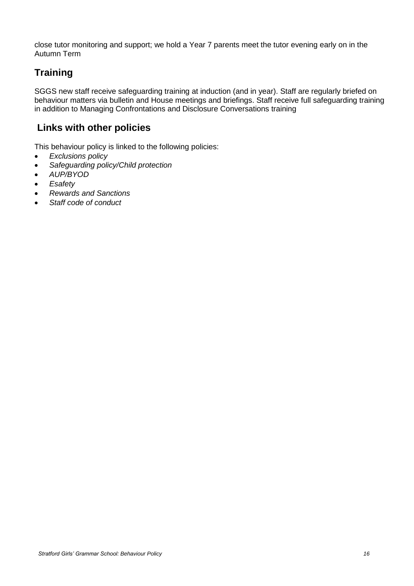close tutor monitoring and support; we hold a Year 7 parents meet the tutor evening early on in the Autumn Term

# **Training**

SGGS new staff receive safeguarding training at induction (and in year). Staff are regularly briefed on behaviour matters via bulletin and House meetings and briefings. Staff receive full safeguarding training in addition to Managing Confrontations and Disclosure Conversations training

# **Links with other policies**

This behaviour policy is linked to the following policies:

- *Exclusions policy*
- *Safeguarding policy/Child protection*
- *AUP/BYOD*
- *Esafety*
- *Rewards and Sanctions*
- *Staff code of conduct*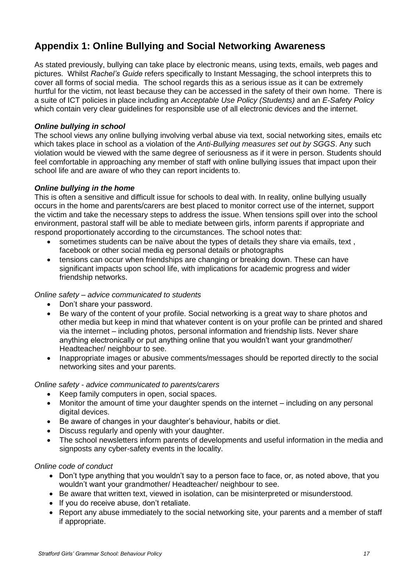# **Appendix 1: Online Bullying and Social Networking Awareness**

As stated previously, bullying can take place by electronic means, using texts, emails, web pages and pictures. Whilst *Rachel's Guide* refers specifically to Instant Messaging, the school interprets this to cover all forms of social media. The school regards this as a serious issue as it can be extremely hurtful for the victim, not least because they can be accessed in the safety of their own home. There is a suite of ICT policies in place including an *Acceptable Use Policy (Students)* and an *E-Safety Policy* which contain very clear guidelines for responsible use of all electronic devices and the internet.

### *Online bullying in school*

The school views any online bullying involving verbal abuse via text, social networking sites, emails etc which takes place in school as a violation of the *Anti-Bullying measures set out by SGGS*. Any such violation would be viewed with the same degree of seriousness as if it were in person. Students should feel comfortable in approaching any member of staff with online bullying issues that impact upon their school life and are aware of who they can report incidents to.

### *Online bullying in the home*

This is often a sensitive and difficult issue for schools to deal with. In reality, online bullying usually occurs in the home and parents/carers are best placed to monitor correct use of the internet, support the victim and take the necessary steps to address the issue. When tensions spill over into the school environment, pastoral staff will be able to mediate between girls, inform parents if appropriate and respond proportionately according to the circumstances. The school notes that:

- sometimes students can be naïve about the types of details they share via emails, text , facebook or other social media eg personal details or photographs
- tensions can occur when friendships are changing or breaking down. These can have significant impacts upon school life, with implications for academic progress and wider friendship networks.

### *Online safety – advice communicated to students*

- Don't share your password.
- Be wary of the content of your profile. Social networking is a great way to share photos and other media but keep in mind that whatever content is on your profile can be printed and shared via the internet – including photos, personal information and friendship lists. Never share anything electronically or put anything online that you wouldn't want your grandmother/ Headteacher/ neighbour to see.
- Inappropriate images or abusive comments/messages should be reported directly to the social networking sites and your parents.

### *Online safety - advice communicated to parents/carers*

- Keep family computers in open, social spaces.
- Monitor the amount of time your daughter spends on the internet including on any personal digital devices.
- Be aware of changes in your daughter's behaviour, habits or diet.
- Discuss regularly and openly with your daughter.
- The school newsletters inform parents of developments and useful information in the media and signposts any cyber-safety events in the locality.

### *Online code of conduct*

- Don't type anything that you wouldn't say to a person face to face, or, as noted above, that you wouldn't want your grandmother/ Headteacher/ neighbour to see.
- Be aware that written text, viewed in isolation, can be misinterpreted or misunderstood.
- If you do receive abuse, don't retaliate.
- Report any abuse immediately to the social networking site, your parents and a member of staff if appropriate.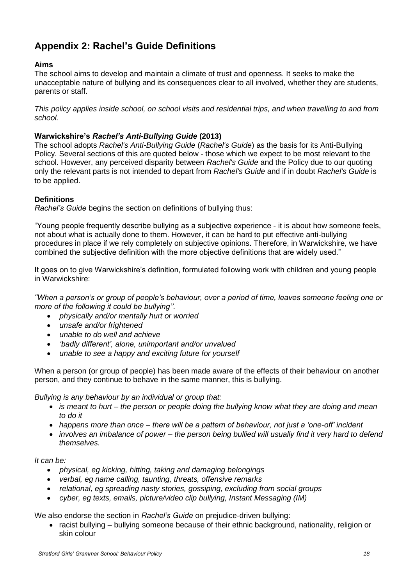# **Appendix 2: Rachel's Guide Definitions**

### **Aims**

The school aims to develop and maintain a climate of trust and openness. It seeks to make the unacceptable nature of bullying and its consequences clear to all involved, whether they are students, parents or staff.

*This policy applies inside school, on school visits and residential trips, and when travelling to and from school.*

### **Warwickshire's** *Rachel's Anti-Bullying Guide* **(2013)**

The school adopts *Rachel's Anti-Bullying Guide* (*Rachel's Guide*) as the basis for its Anti-Bullying Policy. Several sections of this are quoted below - those which we expect to be most relevant to the school. However, any perceived disparity between *Rachel's Guide* and the Policy due to our quoting only the relevant parts is not intended to depart from *Rachel's Guide* and if in doubt *Rachel's Guide* is to be applied.

### **Definitions**

*Rachel's Guide* begins the section on definitions of bullying thus:

"Young people frequently describe bullying as a subjective experience - it is about how someone feels, not about what is actually done to them. However, it can be hard to put effective anti-bullying procedures in place if we rely completely on subjective opinions. Therefore, in Warwickshire, we have combined the subjective definition with the more objective definitions that are widely used."

It goes on to give Warwickshire's definition, formulated following work with children and young people in Warwickshire:

*"When a person's or group of people's behaviour, over a period of time, leaves someone feeling one or more of the following it could be bullying''.* 

- *physically and/or mentally hurt or worried*
- *unsafe and/or frightened*
- *unable to do well and achieve*
- *'badly different', alone, unimportant and/or unvalued*
- *unable to see a happy and exciting future for yourself*

When a person (or group of people) has been made aware of the effects of their behaviour on another person, and they continue to behave in the same manner, this is bullying.

*Bullying is any behaviour by an individual or group that:*

- *is meant to hurt – the person or people doing the bullying know what they are doing and mean to do it*
- *happens more than once – there will be a pattern of behaviour, not just a 'one-off' incident*
- *involves an imbalance of power – the person being bullied will usually find it very hard to defend themselves.*

*It can be:*

- *physical, eg kicking, hitting, taking and damaging belongings*
- *verbal, eg name calling, taunting, threats, offensive remarks*
- *relational, eg spreading nasty stories, gossiping, excluding from social groups*
- *cyber, eg texts, emails, picture/video clip bullying, Instant Messaging (IM)*

We also endorse the section in *Rachel's Guide* on prejudice-driven bullying:

• racist bullying – bullying someone because of their ethnic background, nationality, religion or skin colour